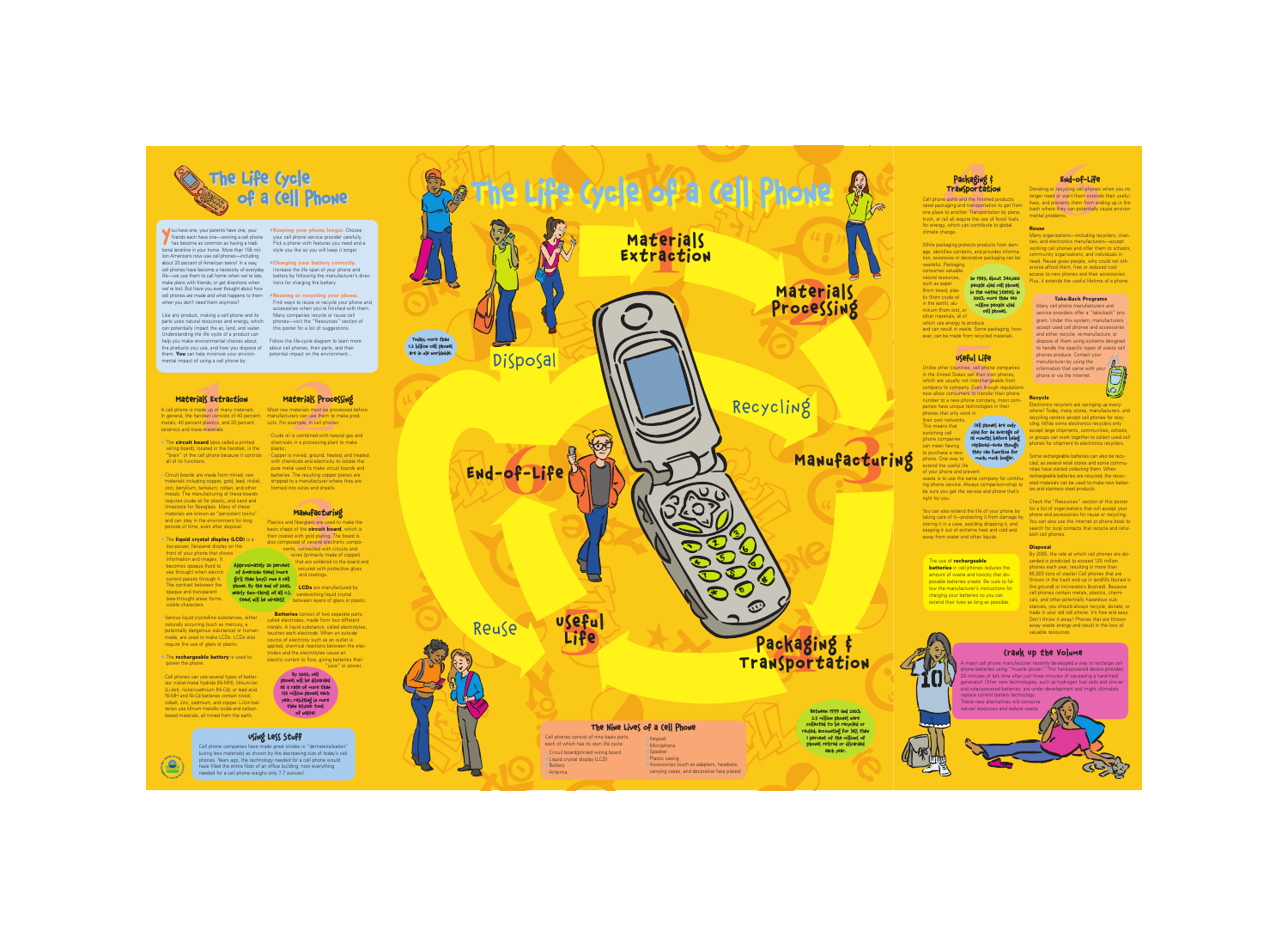ou have one, your parents have one, your<br>
friends each have one—owning a cell phor<br>
has become as common as having a tradifriends each have one—owning a cell phone tional land-line in your home. More than 156 million Americans now use cell phones—including about 20 percent of American teens! In a way, cell phones have become a necessity of everyday life—we use them to call home when we're late, make plans with friends, or get directions when we're lost. But have you ever thought about how cell phones are made and what happens to them ±**Reusing or recycling your phone.** when you don't need them anymore?

 $\star$ **Keeping your phone longer.** Choose your cell phone service provider carefully. Pick a phone with features you need and a style you like so you will keep it longer.

Like any product, making a cell phone and its parts uses natural resources and energy, which can potentially impact the air, land, and water. Understanding the life cycle of a product can help you make environmental choices about the products you use, and how you dispose of them. **You** can help minimize your environmental impact of using a cell phone by:

**12 Extraction**<br> **12 Extraction**<br> **12 Extraction**<br> **12 Extraction**<br> **12 Extraction**<br> **12 Extraction**<br> **12 Extraction**<br> **12 Extraction**<br> **12 Extraction**<br> **12 Extraction**<br> **12 Extraction**<br> **12 Extract** A cell phone is made up of many materials. In general, the handset consists of 40 percent metals, 40 percent plastics, and 20 percent ceramics and trace materials.

 $\triangle$  The **circuit board** (also called a printed wiring board), located in the handset, is the all of its functions.

±**Charging your battery correctly.** Increase the life span of your phone and battery by following the manufacturer's directions for charging the battery.

Find ways to reuse or recycle your phone and accessories when you're finished with them. Many companies recycle or reuse cell phones—visit the "Resources" section of this poster for a list of suggestions.

#### $\triangle$  The **rechargeable battery** is used to power the phone.

Follow the life-cycle diagram to learn more about cell phones, their parts, and their potential impact on the environment...

#### Materials Extraction

o wires and sheets.<br> **Manufacturin**<br>
fiberglass are used t<br>
of the **circuit boar**<br>
with gold plating. Th<br>
red of several electro<br>
i, connected with circles<br>
vires (primarily made<br>
that are soldered to Plastics and fiberglass are used to make the basic shape of the **circuit board**, which is then coated with gold plating. The board is also composed of several electronic components, connected with circuits and wires (primarily made of copper)

—Circuit boards are made from mined, raw materials including copper, gold, lead, nickel, zinc, beryllium, tantalum, coltan, and other metals. The manufacturing of these boards requires crude oil for plastic, and sand and limestone for fiberglass. Many of these materials are known as "persistent toxins" and can stay in the environment for long periods of time, even after disposal.

> **Batteries** consist of two separate parts, called electrodes, made from two different metals. A liquid substance, called electrolytes, touches each electrode. When an outside source of electricity such as an outlet is applied, chemical reactions between the electrodes and the electrolytes cause an electric current to flow, giving batteries their "juice" or power.

**Packaging #**<br> **4411 Transportatic**<br> **4411 Transportation**<br> **4411 Transportation**<br> **4411 Transportation**<br> **4411 Transportational Proportational Proportation**<br> **4411 Proportation**<br> **4411 Proportation**<br> **4411 Proportation**<br> Cell phone parts and the finished products need packaging and transportation to get from one place to another. Transportation by plane, truck, or rail all require the use of fossil fuels for energy, which can contribute to global climate change.

—Various liquid crystalline substances, either naturally occurring (such as mercury, a potentially dangerous substance) or humanmade, are used to make LCDs. LCDs also require the use of glass or plastic.

**THE WASTERN WINDIST WITH WASTERN WITH WASTERN WINDIST CONTINUITIES.**<br> **SEPTLA LIFE CONTINUITIES CONTINUITIES CONTINUITIES CONTINUITIES COMPANY.**<br> **EVERY DEVELOPMENT COMPANY**<br> **SEPTE THE CONTINUITIES CONTINUITIES CONTINUIT** Unlike other countries, cell phone companies in the United States sell their own phones, which are usually not interchangeable from company to company. Even though regulations now allow consumers to transfer their phone number to a new phone company, most companies have unique technologies in their phones that only work in

"brain" of the cell phone because it controls —Copper is mined, ground, heated, and treated with chemicals and electricity to isolate the pure metal used to make circuit boards and batteries. The resulting copper pieces are shipped to a manufacturer where they are formed into wires and sheets.

waste is to use the same company for continuing phone service. Always comparison-shop to be sure you get the service and phone that's right for you.

—Cell phones can use several types of batteries: nickel-metal hydride (Ni-MH), lithium-ion (Li-Ion), nickel-cadmium (Ni-Cd), or lead acid. Ni-MH and Ni-Cd batteries contain nickel, cobalt, zinc, cadmium, and copper. Li-Ion batteries use lithium metallic oxide and carbonbased materials, all mined from the earth.

#### **Materials Processing**

**End-of-Life**<br>or recycling cell phones<br>ed or want them extend<br>prevents them from end<br>ree they can potentially coblems. Donating or recycling cell phones when you no longer need or want them extends their useful lives, and prevents them from ending up in the trash where they can potentially cause environmental problems.

Most raw materials must be processed before manufacturers can use them to make products. For example, in cell phones:

—Crude oil is combined with natural gas and chemicals in a processing plant to make plastic;

#### Manufacturing

that are soldered to the board and secured with protective glues and coatings.

**phone. By the end of 2005, ALCDs** are manufactured by nearly two-thirds of all u.S. <u>/ sandwiching liquid crystal</u> teens will be wireless! between layers of glass or plastic.

 $\star$  The **liquid crystal display (LCD)** is a low-power, flat-panel display on the front of your phone that shows information and images. It becomes opaque (hard to see through) when electric current passes through it. The contrast between the opaque and transparent (see-through) areas forms visible characters. Approximately 20 percent of American teens (more girls than boys) own a cell to purchase a new they can function for Cell phones are only used for an average of 18 months before being replaced—even though much, much longer.

While packaging protects products from damage, identifies contents, and provides information, excessive or decorative packaging can be wasteful. Packaging

**batteries** in cell phones reduces the amount of waste and toxicity that disposable batteries create. Be sure to follow the manufacturer's instructions for charging your batteries so you can extend their lives as long as possible.

consumes valuable natural resources, such as paper (from trees), plastic (from crude oil in the earth), aluminum (from ore), or other materials, all of

and can result in waste. Some packaging, however, can be made from recycled materials.

### Useful Life

- ± Circuit board/printed wiring board
- $\triangle$  Liquid crystal display (LCD)
- ±Battery
- ±Antenna
- $±$ **Keypad**  $±$ **Microphone**
- ±Speaker
- $\bigstar$  Plastic casing
- $\triangle$  Accessories (such as adapters, headsets, carrying cases, and decorative face plates)



their own networks. This means that switching cell phone companies can mean having phone. One way to extend the useful life

of your phone and prevent

You can also extend the life of your phone by taking care of it—protecting it from damage by storing it in a case, avoiding dropping it, and keeping it out of extreme heat and cold and away from water and other liquids.

#### End-of-Life

#### **Reuse**

Many organizations—including recyclers, charities, and electronics manufacturers—accept working cell phones and offer them to schools, community organizations, and individuals in need. Reuse gives people, who could not otherwise afford them, free or reduced cost access to new phones and their accessories. Plus, it extends the useful lifetime of a phone.

#### **Recycle**

Electronics recyclers are springing up everywhere! Today, many stores, manufacturers, and recycling centers accept cell phones for recycling. While some electronics recyclers only accept large shipments, communities, schools, or groups can work together to collect used cell phones for shipment to electronics recyclers.

Some rechargeable batteries can also be recycled, as several retail stores and some communities have started collecting them. When rechargeable batteries are recycled, the recovered materials can be used to make new batteries and stainless steel products.

Check the "Resources" section of this poster for a list of organizations that will accept your phone and accessories for reuse or recycling. You can also use the Internet or phone book to search for local contacts that recycle and refurbish cell phones.

#### **Disposal**

By 2005, the rate at which cell phones are discarded is predicted to exceed 125 million phones each year, resulting in more than 65,000 tons of waste! Cell phones that are thrown in the trash end up in landfills (buried in the ground) or incinerators (burned). Because cell phones contain metals, plastics, chemicals, and other potentially hazardous substances, you should always recycle, donate, or trade in your old cell phone. It's free and easy. Don't throw it away! Phones that are thrown away waste energy and result in the loss of valuable resources.



#### Crank Up the Volume

A major cell phone manufacturer recently developed a way to recharge cell phone batteries using "muscle power." This hand-powered device provides 20 minutes of talk time after just three minutes of squeezing a hand-held generator! Other new technologies, such as hydrogen fuel cells and zinc-air and solar-powered batteries, are under development and might ultimately replace current battery technology.

These new alternatives will conserve natural resources and reduce waste.

### Using Less Stuff

Cell phone companies have made great strides in "dematerialization" (using less materials) as shown by the decreasing size of today's cell phones. Years ago, the technology needed for a cell phone would have filled the entire floor of an office building; now everything needed for a cell phone weighs only 7.7 ounces!





In 1985, about 340,000 people used cell phones in the United States; in 2003, more than 140 million people used cell phones.

which use energy to produce

By 2005, cell phones will be discarded at a rate of more than 125 million phones each year, resulting in more  $t$ han 65,000  $t$ ons of waste!



#### The use of **rechargeable**

#### **Take-Back Programs**

Many cell phone manufacturers and service providers offer a "take-back" program. Under this system, manufacturers accept used cell phones and accessories and either recycle, re-manufacture, or dispose of them using systems designed to handle the specific types of waste cell phones produce. Contact your

manufacturer by using the information that came with your phone or via the Internet.



Between 1999 and 2003, 2.5 million phones were collected to be recycled or reused, accounting for less than 1 percent of the millions of phones retired or discarded each year.





### Packaging **Transportation**

Cell phones consist of nine basic parts, each of which has its own life cycle:

#### The Nine Lives of a Cell Phone